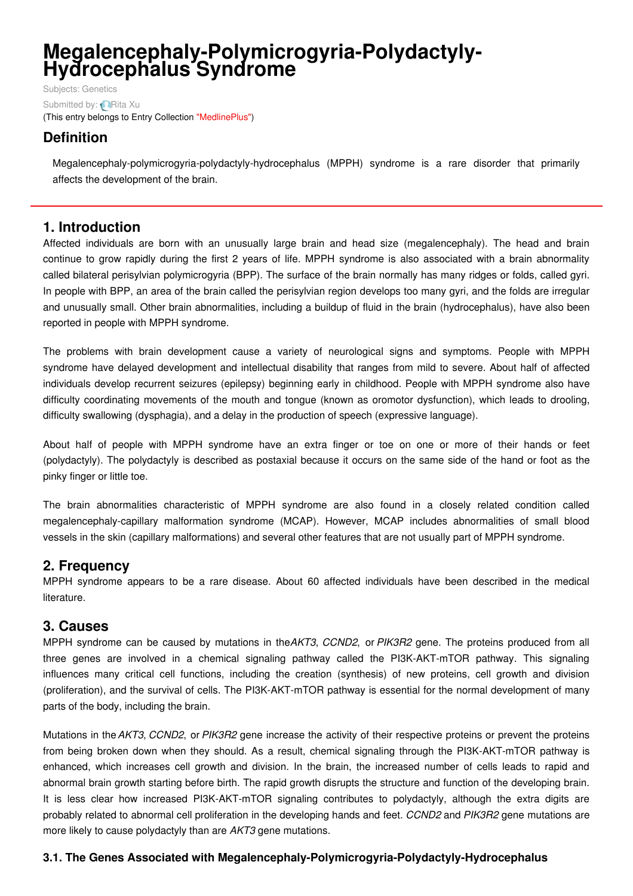# **Megalencephaly-Polymicrogyria-Polydactyly- Hydrocephalus Syndrome**

Subjects: [Genetics](https://encyclopedia.pub/item/subject/56) Submitted by: **[Rita](https://sciprofiles.com/profile/915637) Xu** (This entry belongs to Entry Collection ["MedlinePlus"](https://encyclopedia.pub/entry/collection/24))

# **Definition**

Megalencephaly-polymicrogyria-polydactyly-hydrocephalus (MPPH) syndrome is a rare disorder that primarily affects the development of the brain.

## **1. Introduction**

Affected individuals are born with an unusually large brain and head size (megalencephaly). The head and brain continue to grow rapidly during the first 2 years of life. MPPH syndrome is also associated with a brain abnormality called bilateral perisylvian polymicrogyria (BPP). The surface of the brain normally has many ridges or folds, called gyri. In people with BPP, an area of the brain called the perisylvian region develops too many gyri, and the folds are irregular and unusually small. Other brain abnormalities, including a buildup of fluid in the brain (hydrocephalus), have also been reported in people with MPPH syndrome.

The problems with brain development cause a variety of neurological signs and symptoms. People with MPPH syndrome have delayed development and intellectual disability that ranges from mild to severe. About half of affected individuals develop recurrent seizures (epilepsy) beginning early in childhood. People with MPPH syndrome also have difficulty coordinating movements of the mouth and tongue (known as oromotor dysfunction), which leads to drooling, difficulty swallowing (dysphagia), and a delay in the production of speech (expressive language).

About half of people with MPPH syndrome have an extra finger or toe on one or more of their hands or feet (polydactyly). The polydactyly is described as postaxial because it occurs on the same side of the hand or foot as the pinky finger or little toe.

The brain abnormalities characteristic of MPPH syndrome are also found in a closely related condition called megalencephaly-capillary malformation syndrome (MCAP). However, MCAP includes abnormalities of small blood vessels in the skin (capillary malformations) and several other features that are not usually part of MPPH syndrome.

## **2. Frequency**

MPPH syndrome appears to be a rare disease. About 60 affected individuals have been described in the medical literature.

## **3. Causes**

MPPH syndrome can be caused by mutations in the*AKT3*, *CCND2*, or *PIK3R2* gene. The proteins produced from all three genes are involved in a chemical signaling pathway called the PI3K-AKT-mTOR pathway. This signaling influences many critical cell functions, including the creation (synthesis) of new proteins, cell growth and division (proliferation), and the survival of cells. The PI3K-AKT-mTOR pathway is essential for the normal development of many parts of the body, including the brain.

Mutations in the*AKT3*, *CCND2*, or *PIK3R2* gene increase the activity of their respective proteins or prevent the proteins from being broken down when they should. As a result, chemical signaling through the PI3K-AKT-mTOR pathway is enhanced, which increases cell growth and division. In the brain, the increased number of cells leads to rapid and abnormal brain growth starting before birth. The rapid growth disrupts the structure and function of the developing brain. It is less clear how increased PI3K-AKT-mTOR signaling contributes to polydactyly, although the extra digits are probably related to abnormal cell proliferation in the developing hands and feet. *CCND2* and *PIK3R2* gene mutations are more likely to cause polydactyly than are *AKT3* gene mutations.

### **3.1. The Genes Associated with Megalencephaly-Polymicrogyria-Polydactyly-Hydrocephalus**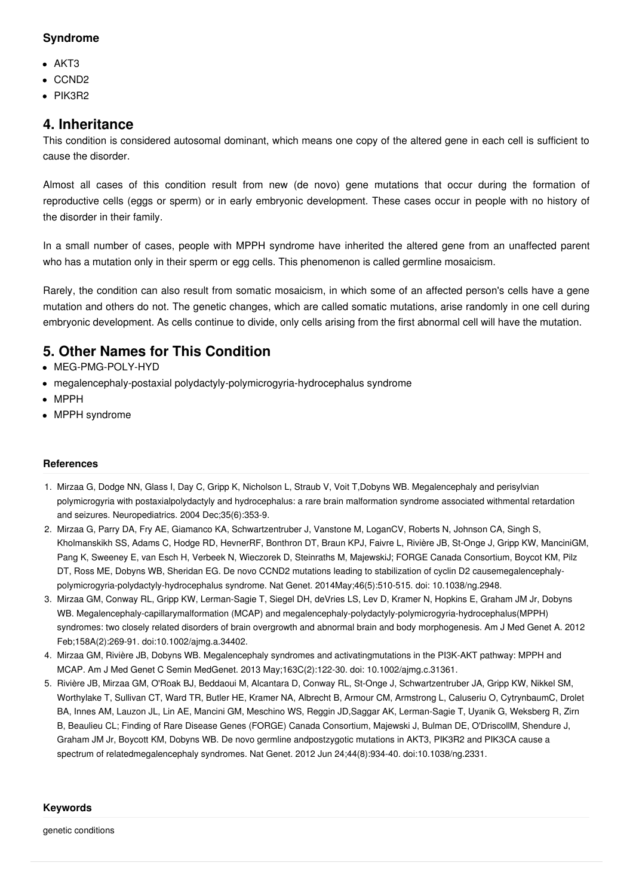#### **Syndrome**

- $\bullet$  AKT3
- CCND<sub>2</sub>
- PIK3R2

## **4. Inheritance**

This condition is considered autosomal dominant, which means one copy of the altered gene in each cell is sufficient to cause the disorder.

Almost all cases of this condition result from new (de novo) gene mutations that occur during the formation of reproductive cells (eggs or sperm) or in early embryonic development. These cases occur in people with no history of the disorder in their family.

In a small number of cases, people with MPPH syndrome have inherited the altered gene from an unaffected parent who has a mutation only in their sperm or egg cells. This phenomenon is called germline mosaicism.

Rarely, the condition can also result from somatic mosaicism, in which some of an affected person's cells have a gene mutation and others do not. The genetic changes, which are called somatic mutations, arise randomly in one cell during embryonic development. As cells continue to divide, only cells arising from the first abnormal cell will have the mutation.

## **5. Other Names for This Condition**

- MEG-PMG-POLY-HYD
- megalencephaly-postaxial polydactyly-polymicrogyria-hydrocephalus syndrome
- MPPH
- MPPH syndrome

#### **References**

- 1. Mirzaa G, Dodge NN, Glass I, Day C, Gripp K, Nicholson L, Straub V, Voit T,Dobyns WB. Megalencephaly and perisylvian polymicrogyria with postaxialpolydactyly and hydrocephalus: a rare brain malformation syndrome associated withmental retardation and seizures. Neuropediatrics. 2004 Dec;35(6):353-9.
- 2. Mirzaa G, Parry DA, Fry AE, Giamanco KA, Schwartzentruber J, Vanstone M, LoganCV, Roberts N, Johnson CA, Singh S, Kholmanskikh SS, Adams C, Hodge RD, HevnerRF, Bonthron DT, Braun KPJ, Faivre L, Rivière JB, St-Onge J, Gripp KW, ManciniGM, Pang K, Sweeney E, van Esch H, Verbeek N, Wieczorek D, Steinraths M, MajewskiJ; FORGE Canada Consortium, Boycot KM, Pilz DT, Ross ME, Dobyns WB, Sheridan EG. De novo CCND2 mutations leading to stabilization of cyclin D2 causemegalencephalypolymicrogyria-polydactyly-hydrocephalus syndrome. Nat Genet. 2014May;46(5):510-515. doi: 10.1038/ng.2948.
- 3. Mirzaa GM, Conway RL, Gripp KW, Lerman-Sagie T, Siegel DH, deVries LS, Lev D, Kramer N, Hopkins E, Graham JM Jr, Dobyns WB. Megalencephaly-capillarymalformation (MCAP) and megalencephaly-polydactyly-polymicrogyria-hydrocephalus(MPPH) syndromes: two closely related disorders of brain overgrowth and abnormal brain and body morphogenesis. Am J Med Genet A. 2012 Feb;158A(2):269-91. doi:10.1002/ajmg.a.34402.
- 4. Mirzaa GM, Rivière JB, Dobyns WB. Megalencephaly syndromes and activatingmutations in the PI3K-AKT pathway: MPPH and MCAP. Am J Med Genet C Semin MedGenet. 2013 May;163C(2):122-30. doi: 10.1002/ajmg.c.31361.
- 5. Rivière JB, Mirzaa GM, O'Roak BJ, Beddaoui M, Alcantara D, Conway RL, St-Onge J, Schwartzentruber JA, Gripp KW, Nikkel SM, Worthylake T, Sullivan CT, Ward TR, Butler HE, Kramer NA, Albrecht B, Armour CM, Armstrong L, Caluseriu O, CytrynbaumC, Drolet BA, Innes AM, Lauzon JL, Lin AE, Mancini GM, Meschino WS, Reggin JD,Saggar AK, Lerman-Sagie T, Uyanik G, Weksberg R, Zirn B, Beaulieu CL; Finding of Rare Disease Genes (FORGE) Canada Consortium, Majewski J, Bulman DE, O'DriscollM, Shendure J, Graham JM Jr, Boycott KM, Dobyns WB. De novo germline andpostzygotic mutations in AKT3, PIK3R2 and PIK3CA cause a spectrum of relatedmegalencephaly syndromes. Nat Genet. 2012 Jun 24;44(8):934-40. doi:10.1038/ng.2331.

#### **Keywords**

genetic conditions